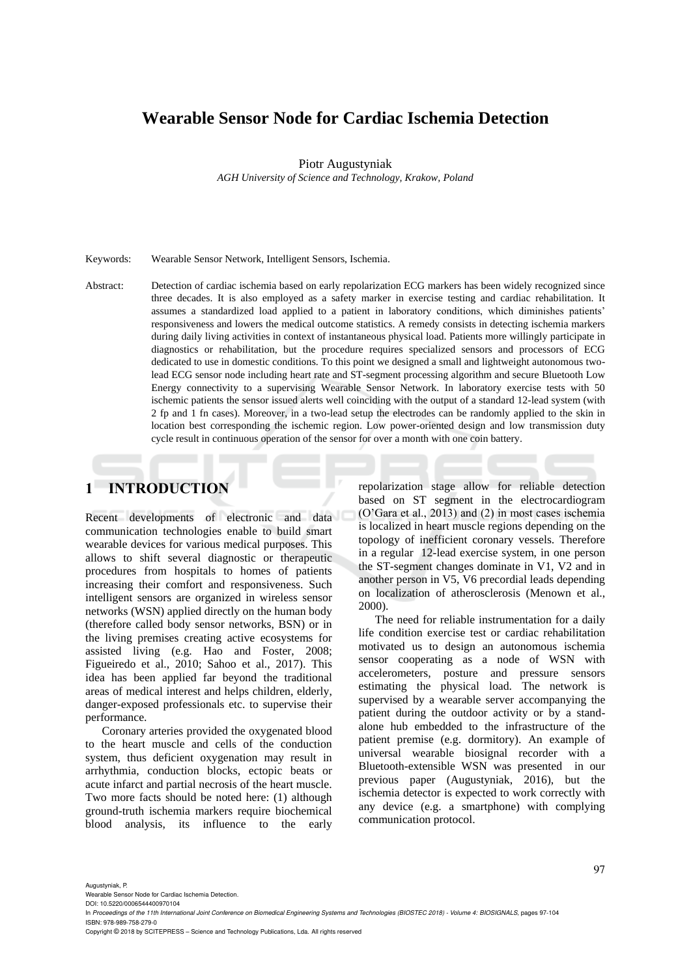# **Wearable Sensor Node for Cardiac Ischemia Detection**

Piotr Augustyniak

*AGH University of Science and Technology, Krakow, Poland*

#### Keywords: Wearable Sensor Network, Intelligent Sensors, Ischemia.

Abstract: Detection of cardiac ischemia based on early repolarization ECG markers has been widely recognized since three decades. It is also employed as a safety marker in exercise testing and cardiac rehabilitation. It assumes a standardized load applied to a patient in laboratory conditions, which diminishes patients' responsiveness and lowers the medical outcome statistics. A remedy consists in detecting ischemia markers during daily living activities in context of instantaneous physical load. Patients more willingly participate in diagnostics or rehabilitation, but the procedure requires specialized sensors and processors of ECG dedicated to use in domestic conditions. To this point we designed a small and lightweight autonomous twolead ECG sensor node including heart rate and ST-segment processing algorithm and secure Bluetooth Low Energy connectivity to a supervising Wearable Sensor Network. In laboratory exercise tests with 50 ischemic patients the sensor issued alerts well coinciding with the output of a standard 12-lead system (with 2 fp and 1 fn cases). Moreover, in a two-lead setup the electrodes can be randomly applied to the skin in location best corresponding the ischemic region. Low power-oriented design and low transmission duty cycle result in continuous operation of the sensor for over a month with one coin battery.

# **1 INTRODUCTION**

Recent developments of electronic and data communication technologies enable to build smart wearable devices for various medical purposes. This allows to shift several diagnostic or therapeutic procedures from hospitals to homes of patients increasing their comfort and responsiveness. Such intelligent sensors are organized in wireless sensor networks (WSN) applied directly on the human body (therefore called body sensor networks, BSN) or in the living premises creating active ecosystems for assisted living (e.g. Hao and Foster, 2008; Figueiredo et al., 2010; Sahoo et al., 2017). This idea has been applied far beyond the traditional areas of medical interest and helps children, elderly, danger-exposed professionals etc. to supervise their performance.

Coronary arteries provided the oxygenated blood to the heart muscle and cells of the conduction system, thus deficient oxygenation may result in arrhythmia, conduction blocks, ectopic beats or acute infarct and partial necrosis of the heart muscle. Two more facts should be noted here: (1) although ground-truth ischemia markers require biochemical blood analysis, its influence to the early repolarization stage allow for reliable detection based on ST segment in the electrocardiogram (O'Gara et al., 2013) and (2) in most cases ischemia is localized in heart muscle regions depending on the topology of inefficient coronary vessels. Therefore in a regular 12-lead exercise system, in one person the ST-segment changes dominate in V1, V2 and in another person in V5, V6 precordial leads depending on localization of atherosclerosis (Menown et al., 2000).

The need for reliable instrumentation for a daily life condition exercise test or cardiac rehabilitation motivated us to design an autonomous ischemia sensor cooperating as a node of WSN with accelerometers, posture and pressure sensors estimating the physical load. The network is supervised by a wearable server accompanying the patient during the outdoor activity or by a standalone hub embedded to the infrastructure of the patient premise (e.g. dormitory). An example of universal wearable biosignal recorder with a Bluetooth-extensible WSN was presented in our previous paper (Augustyniak, 2016), but the ischemia detector is expected to work correctly with any device (e.g. a smartphone) with complying communication protocol.

Augustyniak, P.

Wearable Sensor Node for Cardiac Ischemia Detection. DOI: 10.5220/0006544400970104

Copyright © 2018 by SCITEPRESS – Science and Technology Publications, Lda. All rights reserved

In Proceedings of the 11th International Joint Conference on Biomedical Engineering Systems and Technologies (BIOSTEC 2018) - Volume 4: BIOSIGNALS, pages 97-104 ISBN: 978-989-758-279-0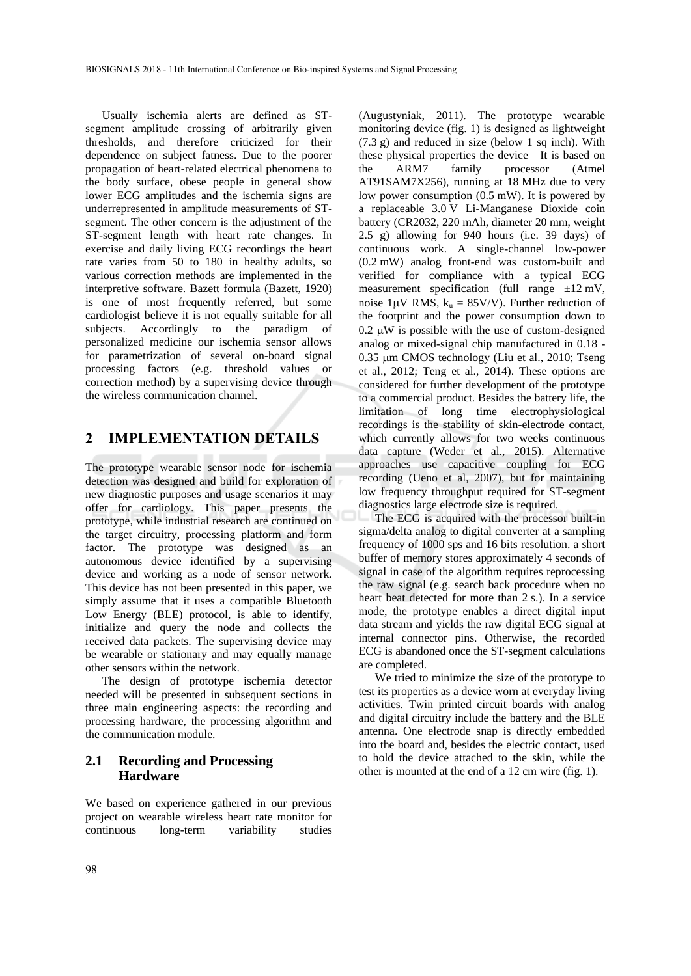Usually ischemia alerts are defined as STsegment amplitude crossing of arbitrarily given thresholds, and therefore criticized for their dependence on subject fatness. Due to the poorer propagation of heart-related electrical phenomena to the body surface, obese people in general show lower ECG amplitudes and the ischemia signs are underrepresented in amplitude measurements of STsegment. The other concern is the adjustment of the ST-segment length with heart rate changes. In exercise and daily living ECG recordings the heart rate varies from 50 to 180 in healthy adults, so various correction methods are implemented in the interpretive software. Bazett formula (Bazett, 1920) is one of most frequently referred, but some cardiologist believe it is not equally suitable for all subjects. Accordingly to the paradigm of personalized medicine our ischemia sensor allows for parametrization of several on-board signal processing factors (e.g. threshold values or correction method) by a supervising device through the wireless communication channel.

## **2 IMPLEMENTATION DETAILS**

The prototype wearable sensor node for ischemia detection was designed and build for exploration of new diagnostic purposes and usage scenarios it may offer for cardiology. This paper presents the prototype, while industrial research are continued on the target circuitry, processing platform and form factor. The prototype was designed as an autonomous device identified by a supervising device and working as a node of sensor network. This device has not been presented in this paper, we simply assume that it uses a compatible Bluetooth Low Energy (BLE) protocol, is able to identify, initialize and query the node and collects the received data packets. The supervising device may be wearable or stationary and may equally manage other sensors within the network.

The design of prototype ischemia detector needed will be presented in subsequent sections in three main engineering aspects: the recording and processing hardware, the processing algorithm and the communication module.

## **2.1 Recording and Processing Hardware**

We based on experience gathered in our previous project on wearable wireless heart rate monitor for continuous long-term variability studies (Augustyniak, 2011). The prototype wearable monitoring device (fig. 1) is designed as lightweight  $(7.3 \text{ g})$  and reduced in size (below 1 sq inch). With these physical properties the device It is based on the ARM7 family processor (Atmel AT91SAM7X256), running at 18 MHz due to very low power consumption (0.5 mW). It is powered by a replaceable 3.0 V Li-Manganese Dioxide coin battery (CR2032, 220 mAh, diameter 20 mm, weight 2.5 g) allowing for 940 hours (i.e. 39 days) of continuous work. A single-channel low-power (0.2 mW) analog front-end was custom-built and verified for compliance with a typical ECG measurement specification (full range  $\pm 12$  mV, noise 1 $\mu$ V RMS,  $k_u = 85$ V/V). Further reduction of the footprint and the power consumption down to  $0.2 \mu W$  is possible with the use of custom-designed analog or mixed-signal chip manufactured in 0.18 -  $0.35 \mu m$  CMOS technology (Liu et al., 2010; Tseng et al., 2012; Teng et al., 2014). These options are considered for further development of the prototype to a commercial product. Besides the battery life, the limitation of long time electrophysiological recordings is the stability of skin-electrode contact, which currently allows for two weeks continuous data capture (Weder et al., 2015). Alternative approaches use capacitive coupling for ECG recording (Ueno et al, 2007), but for maintaining low frequency throughput required for ST-segment diagnostics large electrode size is required.

The ECG is acquired with the processor built-in sigma/delta analog to digital converter at a sampling frequency of 1000 sps and 16 bits resolution. a short buffer of memory stores approximately 4 seconds of signal in case of the algorithm requires reprocessing the raw signal (e.g. search back procedure when no heart beat detected for more than 2 s.). In a service mode, the prototype enables a direct digital input data stream and yields the raw digital ECG signal at internal connector pins. Otherwise, the recorded ECG is abandoned once the ST-segment calculations are completed.

We tried to minimize the size of the prototype to test its properties as a device worn at everyday living activities. Twin printed circuit boards with analog and digital circuitry include the battery and the BLE antenna. One electrode snap is directly embedded into the board and, besides the electric contact, used to hold the device attached to the skin, while the other is mounted at the end of a 12 cm wire (fig. 1).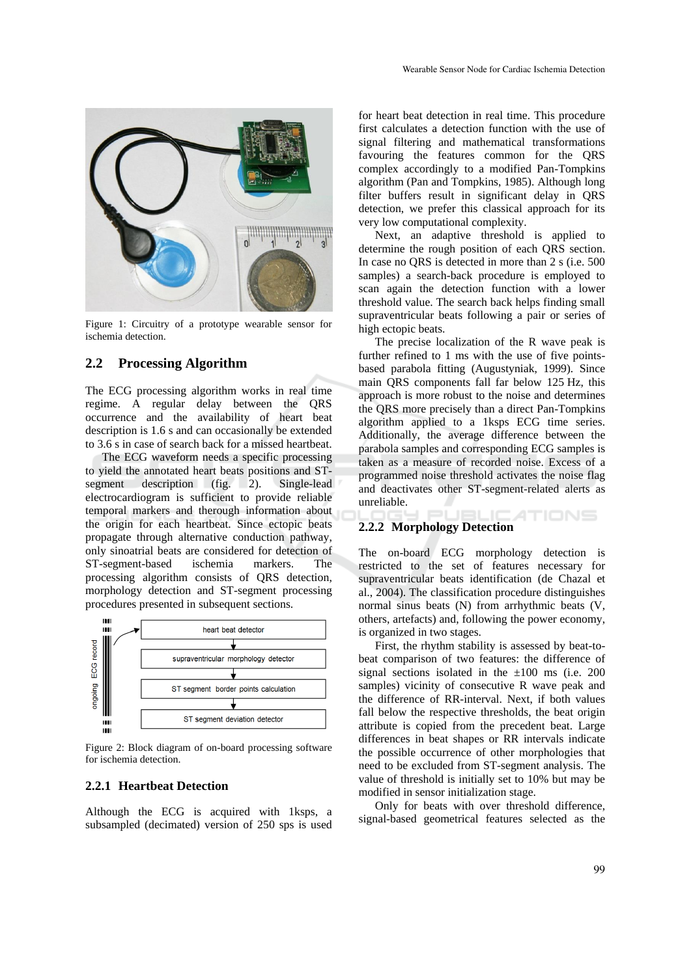

Figure 1: Circuitry of a prototype wearable sensor for ischemia detection.

### **2.2 Processing Algorithm**

The ECG processing algorithm works in real time regime. A regular delay between the QRS occurrence and the availability of heart beat description is 1.6 s and can occasionally be extended to 3.6 s in case of search back for a missed heartbeat.

The ECG waveform needs a specific processing to yield the annotated heart beats positions and STsegment description (fig. 2). Single-lead electrocardiogram is sufficient to provide reliable temporal markers and therough information about the origin for each heartbeat. Since ectopic beats propagate through alternative conduction pathway, only sinoatrial beats are considered for detection of ST-segment-based ischemia markers. The processing algorithm consists of QRS detection, morphology detection and ST-segment processing procedures presented in subsequent sections.



Figure 2: Block diagram of on-board processing software for ischemia detection.

#### **2.2.1 Heartbeat Detection**

Although the ECG is acquired with 1ksps, a subsampled (decimated) version of 250 sps is used

for heart beat detection in real time. This procedure first calculates a detection function with the use of signal filtering and mathematical transformations favouring the features common for the QRS complex accordingly to a modified Pan-Tompkins algorithm (Pan and Tompkins, 1985). Although long filter buffers result in significant delay in QRS detection, we prefer this classical approach for its very low computational complexity.

Next, an adaptive threshold is applied to determine the rough position of each QRS section. In case no QRS is detected in more than 2 s (i.e. 500 samples) a search-back procedure is employed to scan again the detection function with a lower threshold value. The search back helps finding small supraventricular beats following a pair or series of high ectopic beats.

The precise localization of the R wave peak is further refined to 1 ms with the use of five pointsbased parabola fitting (Augustyniak, 1999). Since main QRS components fall far below 125 Hz, this approach is more robust to the noise and determines the QRS more precisely than a direct Pan-Tompkins algorithm applied to a 1ksps ECG time series. Additionally, the average difference between the parabola samples and corresponding ECG samples is taken as a measure of recorded noise. Excess of a programmed noise threshold activates the noise flag and deactivates other ST-segment-related alerts as unreliable.

#### **2.2.2 Morphology Detection**

The on-board ECG morphology detection is restricted to the set of features necessary for supraventricular beats identification (de Chazal et al., 2004). The classification procedure distinguishes normal sinus beats (N) from arrhythmic beats (V, others, artefacts) and, following the power economy, is organized in two stages.

4TIONS

First, the rhythm stability is assessed by beat-tobeat comparison of two features: the difference of signal sections isolated in the  $\pm 100$  ms (i.e. 200 samples) vicinity of consecutive R wave peak and the difference of RR-interval. Next, if both values fall below the respective thresholds, the beat origin attribute is copied from the precedent beat. Large differences in beat shapes or RR intervals indicate the possible occurrence of other morphologies that need to be excluded from ST-segment analysis. The value of threshold is initially set to 10% but may be modified in sensor initialization stage.

Only for beats with over threshold difference, signal-based geometrical features selected as the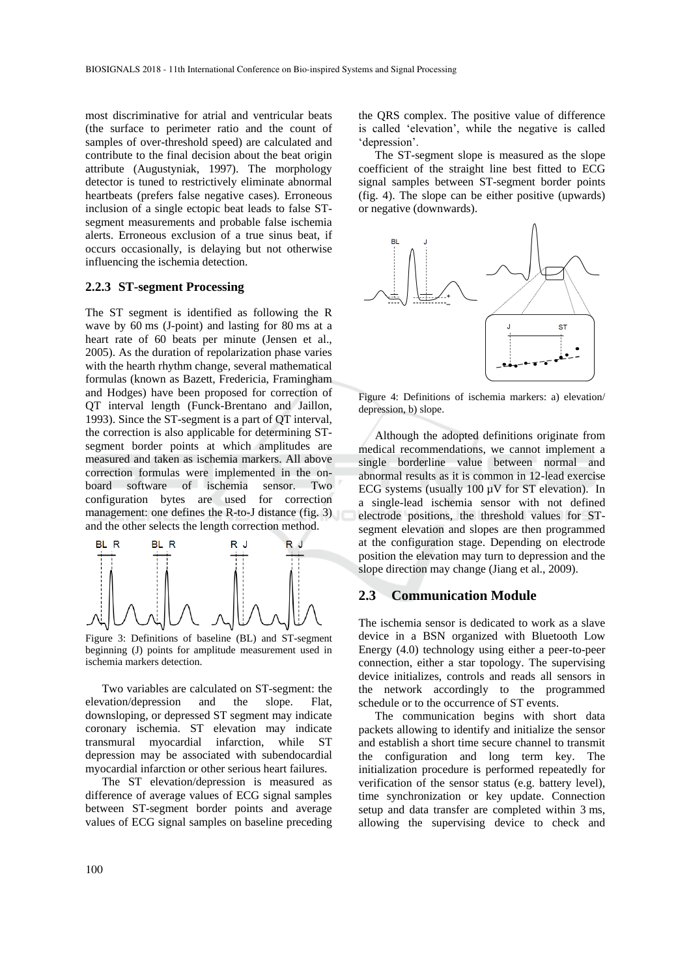most discriminative for atrial and ventricular beats (the surface to perimeter ratio and the count of samples of over-threshold speed) are calculated and contribute to the final decision about the beat origin attribute (Augustyniak, 1997). The morphology detector is tuned to restrictively eliminate abnormal heartbeats (prefers false negative cases). Erroneous inclusion of a single ectopic beat leads to false STsegment measurements and probable false ischemia alerts. Erroneous exclusion of a true sinus beat, if occurs occasionally, is delaying but not otherwise influencing the ischemia detection.

#### **2.2.3 ST-segment Processing**

The ST segment is identified as following the R wave by 60 ms (J-point) and lasting for 80 ms at a heart rate of 60 beats per minute (Jensen et al., 2005). As the duration of repolarization phase varies with the hearth rhythm change, several mathematical formulas (known as Bazett, Fredericia, Framingham and Hodges) have been proposed for correction of QT interval length (Funck-Brentano and Jaillon, 1993). Since the ST-segment is a part of QT interval, the correction is also applicable for determining STsegment border points at which amplitudes are measured and taken as ischemia markers. All above correction formulas were implemented in the onboard software of ischemia sensor. Two configuration bytes are used for correction management: one defines the R-to-J distance (fig. 3) and the other selects the length correction method.



Figure 3: Definitions of baseline (BL) and ST-segment beginning (J) points for amplitude measurement used in ischemia markers detection.

Two variables are calculated on ST-segment: the elevation/depression and the slope. Flat, downsloping, or depressed ST segment may indicate coronary ischemia. ST elevation may indicate transmural myocardial infarction, while ST depression may be associated with subendocardial myocardial infarction or other serious heart failures.

The ST elevation/depression is measured as difference of average values of ECG signal samples between ST-segment border points and average values of ECG signal samples on baseline preceding the QRS complex. The positive value of difference is called 'elevation', while the negative is called 'depression'.

The ST-segment slope is measured as the slope coefficient of the straight line best fitted to ECG signal samples between ST-segment border points (fig. 4). The slope can be either positive (upwards) or negative (downwards).



Figure 4: Definitions of ischemia markers: a) elevation/ depression, b) slope.

Although the adopted definitions originate from medical recommendations, we cannot implement a single borderline value between normal and abnormal results as it is common in 12-lead exercise ECG systems (usually  $100 \mu V$  for ST elevation). In a single-lead ischemia sensor with not defined electrode positions, the threshold values for STsegment elevation and slopes are then programmed at the configuration stage. Depending on electrode position the elevation may turn to depression and the slope direction may change (Jiang et al., 2009).

### **2.3 Communication Module**

The ischemia sensor is dedicated to work as a slave device in a BSN organized with Bluetooth Low Energy (4.0) technology using either a peer-to-peer connection, either a star topology. The supervising device initializes, controls and reads all sensors in the network accordingly to the programmed schedule or to the occurrence of ST events.

The communication begins with short data packets allowing to identify and initialize the sensor and establish a short time secure channel to transmit the configuration and long term key. The initialization procedure is performed repeatedly for verification of the sensor status (e.g. battery level), time synchronization or key update. Connection setup and data transfer are completed within 3 ms, allowing the supervising device to check and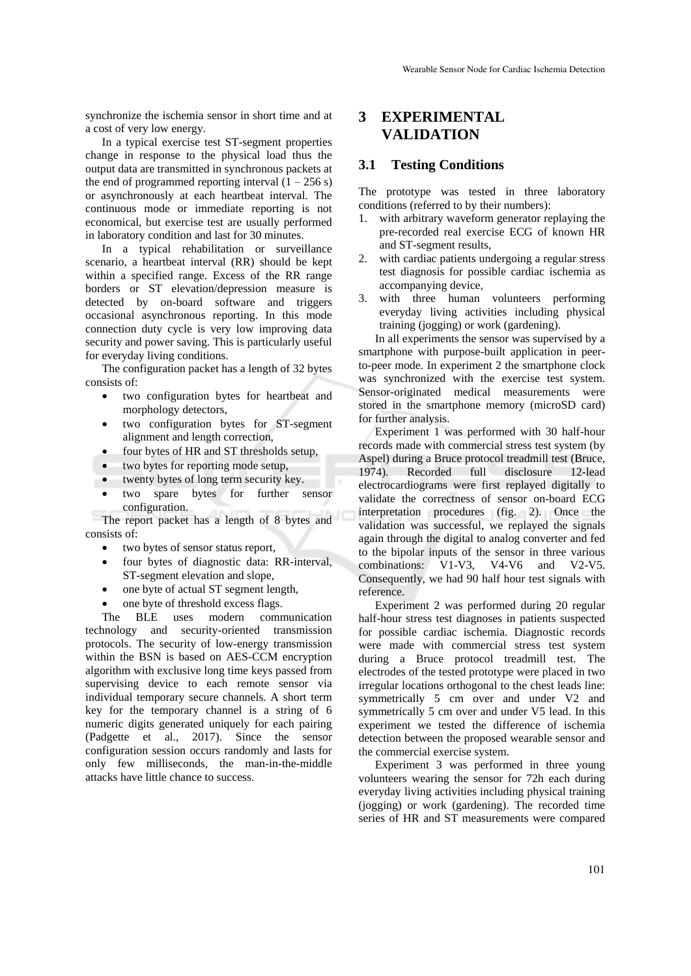synchronize the ischemia sensor in short time and at a cost of very low energy.

In a typical exercise test ST-segment properties change in response to the physical load thus the output data are transmitted in synchronous packets at the end of programmed reporting interval  $(1 - 256 s)$ or asynchronously at each heartbeat interval. The continuous mode or immediate reporting is not economical, but exercise test are usually performed in laboratory condition and last for 30 minutes.

In a typical rehabilitation or surveillance scenario, a heartbeat interval (RR) should be kept within a specified range. Excess of the RR range borders or ST elevation/depression measure is detected by on-board software and triggers occasional asynchronous reporting. In this mode connection duty cycle is very low improving data security and power saving. This is particularly useful for everyday living conditions.

The configuration packet has a length of 32 bytes consists of:

- two configuration bytes for heartbeat and morphology detectors,
- two configuration bytes for ST-segment alignment and length correction,
- four bytes of HR and ST thresholds setup,
- two bytes for reporting mode setup,
- twenty bytes of long term security key.
- two spare bytes for further sensor configuration.

The report packet has a length of 8 bytes and consists of:

- two bytes of sensor status report,
- four bytes of diagnostic data: RR-interval, ST-segment elevation and slope,
- one byte of actual ST segment length,
- one byte of threshold excess flags.

The BLE uses modern communication technology and security-oriented transmission protocols. The security of low-energy transmission within the BSN is based on AES-CCM encryption algorithm with exclusive long time keys passed from supervising device to each remote sensor via individual temporary secure channels. A short term key for the temporary channel is a string of 6 numeric digits generated uniquely for each pairing (Padgette et al., 2017). Since the sensor configuration session occurs randomly and lasts for only few milliseconds, the man-in-the-middle attacks have little chance to success.

## **3 EXPERIMENTAL VALIDATION**

### **3.1 Testing Conditions**

The prototype was tested in three laboratory conditions (referred to by their numbers):

- 1. with arbitrary waveform generator replaying the pre-recorded real exercise ECG of known HR and ST-segment results,
- 2. with cardiac patients undergoing a regular stress test diagnosis for possible cardiac ischemia as accompanying device,
- 3. with three human volunteers performing everyday living activities including physical training (jogging) or work (gardening).

In all experiments the sensor was supervised by a smartphone with purpose-built application in peerto-peer mode. In experiment 2 the smartphone clock was synchronized with the exercise test system. Sensor-originated medical measurements were stored in the smartphone memory (microSD card) for further analysis.

Experiment 1 was performed with 30 half-hour records made with commercial stress test system (by Aspel) during a Bruce protocol treadmill test (Bruce, 1974). Recorded full disclosure 12-lead electrocardiograms were first replayed digitally to validate the correctness of sensor on-board ECG interpretation procedures (fig. 2). Once the validation was successful, we replayed the signals again through the digital to analog converter and fed to the bipolar inputs of the sensor in three various combinations: V1-V3, V4-V6 and V2-V5. Consequently, we had 90 half hour test signals with reference.

Experiment 2 was performed during 20 regular half-hour stress test diagnoses in patients suspected for possible cardiac ischemia. Diagnostic records were made with commercial stress test system during a Bruce protocol treadmill test. The electrodes of the tested prototype were placed in two irregular locations orthogonal to the chest leads line: symmetrically 5 cm over and under V2 and symmetrically 5 cm over and under V5 lead. In this experiment we tested the difference of ischemia detection between the proposed wearable sensor and the commercial exercise system.

Experiment 3 was performed in three young volunteers wearing the sensor for 72h each during everyday living activities including physical training (jogging) or work (gardening). The recorded time series of HR and ST measurements were compared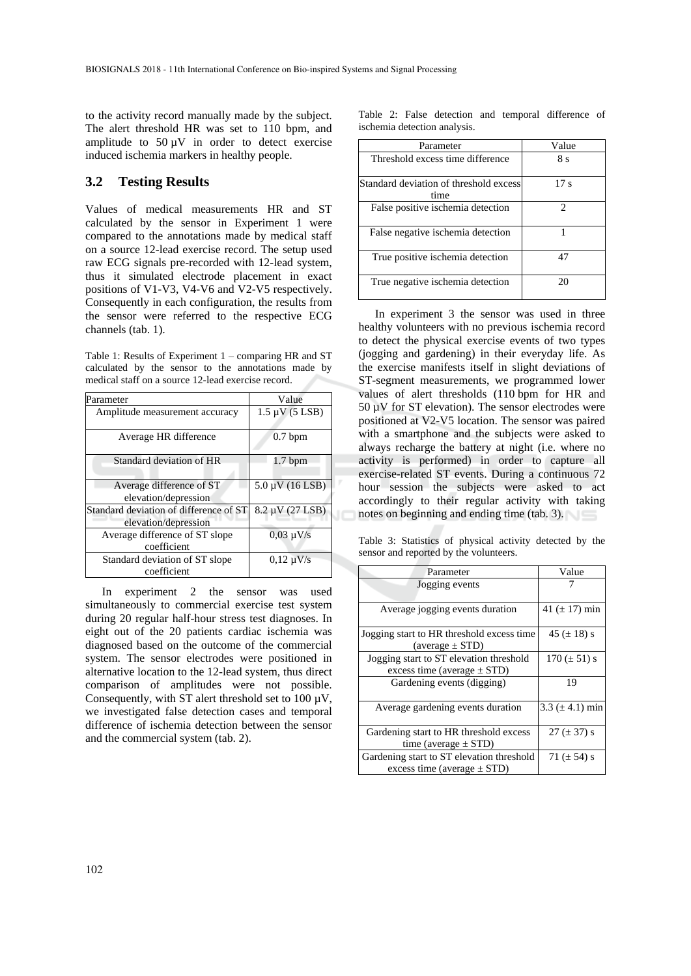to the activity record manually made by the subject. The alert threshold HR was set to 110 bpm, and amplitude to  $50 \mu V$  in order to detect exercise induced ischemia markers in healthy people.

### **3.2 Testing Results**

Values of medical measurements HR and ST calculated by the sensor in Experiment 1 were compared to the annotations made by medical staff on a source 12-lead exercise record. The setup used raw ECG signals pre-recorded with 12-lead system, thus it simulated electrode placement in exact positions of V1-V3, V4-V6 and V2-V5 respectively. Consequently in each configuration, the results from the sensor were referred to the respective ECG channels (tab. 1).

Table 1: Results of Experiment 1 – comparing HR and ST calculated by the sensor to the annotations made by medical staff on a source 12-lead exercise record.

| Parameter                              | Value                       |
|----------------------------------------|-----------------------------|
| Amplitude measurement accuracy         | $1.5 \mu V (5 \text{ LSB})$ |
| Average HR difference                  | $0.7$ bpm                   |
| Standard deviation of HR               | 1.7~bpm                     |
| Average difference of ST               | $5.0 \mu V (16$ LSB)        |
| elevation/depression                   |                             |
| Standard deviation of difference of ST | 8.2 µV (27 LSB)             |
| elevation/depression                   |                             |
| Average difference of ST slope         | $0,03 \mu V/s$              |
| coefficient                            |                             |
| Standard deviation of ST slope         | $0.12 \mu V/s$              |
| coefficient                            |                             |

In experiment 2 the sensor was used simultaneously to commercial exercise test system during 20 regular half-hour stress test diagnoses. In eight out of the 20 patients cardiac ischemia was diagnosed based on the outcome of the commercial system. The sensor electrodes were positioned in alternative location to the 12-lead system, thus direct comparison of amplitudes were not possible. Consequently, with ST alert threshold set to  $100 \mu V$ , we investigated false detection cases and temporal difference of ischemia detection between the sensor and the commercial system (tab. 2).

Table 2: False detection and temporal difference of ischemia detection analysis.

| Parameter                                      | Value           |
|------------------------------------------------|-----------------|
| Threshold excess time difference               | 8 s             |
| Standard deviation of threshold excess<br>time | 17 <sub>s</sub> |
| False positive ischemia detection              | 2               |
| False negative ischemia detection              |                 |
| True positive ischemia detection               | 47              |
| True negative ischemia detection               | 20              |

In experiment 3 the sensor was used in three healthy volunteers with no previous ischemia record to detect the physical exercise events of two types (jogging and gardening) in their everyday life. As the exercise manifests itself in slight deviations of ST-segment measurements, we programmed lower values of alert thresholds (110 bpm for HR and 50 µV for ST elevation). The sensor electrodes were positioned at V2-V5 location. The sensor was paired with a smartphone and the subjects were asked to always recharge the battery at night (i.e. where no activity is performed) in order to capture all exercise-related ST events. During a continuous 72 hour session the subjects were asked to act accordingly to their regular activity with taking notes on beginning and ending time (tab. 3).

Table 3: Statistics of physical activity detected by the sensor and reported by the volunteers.

| Parameter                                 | Value                |
|-------------------------------------------|----------------------|
| Jogging events                            |                      |
|                                           |                      |
| Average jogging events duration           | 41 ( $\pm$ 17) min   |
|                                           |                      |
| Jogging start to HR threshold excess time | 45 $(\pm 18)$ s      |
| $(average \pm STD)$                       |                      |
| Jogging start to ST elevation threshold   | $170 (\pm 51) s$     |
| excess time (average $\pm$ STD)           |                      |
| Gardening events (digging)                | 19                   |
|                                           |                      |
| Average gardening events duration         | 3.3 ( $\pm$ 4.1) min |
|                                           |                      |
| Gardening start to HR threshold excess    | $27 (\pm 37)$ s      |
| time (average $\pm$ STD)                  |                      |
| Gardening start to ST elevation threshold | 71 ( $\pm$ 54) s     |
| excess time (average $\pm$ STD)           |                      |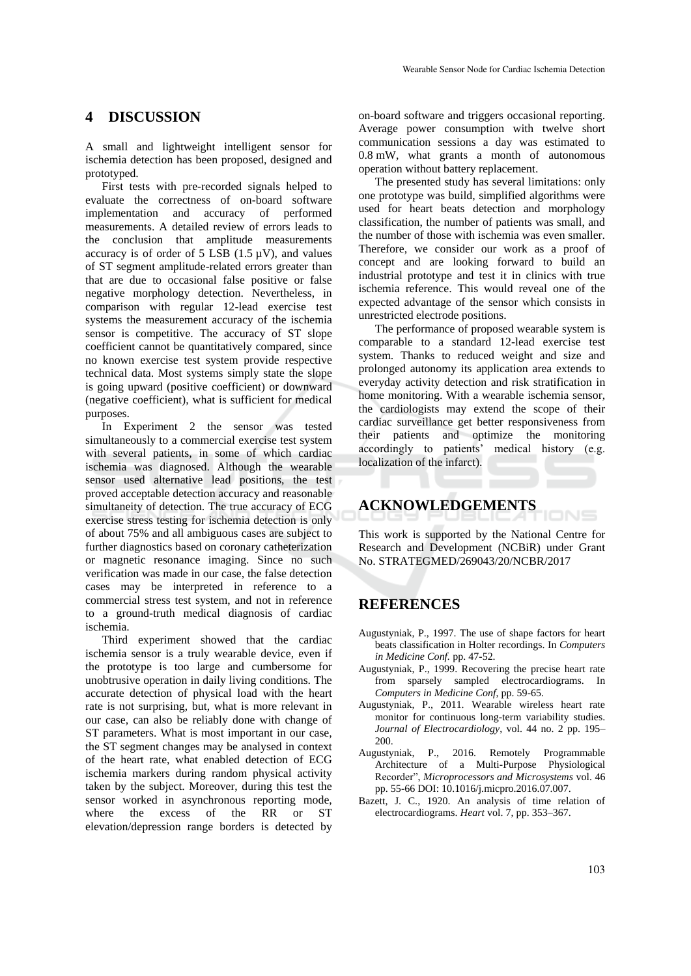## **4 DISCUSSION**

A small and lightweight intelligent sensor for ischemia detection has been proposed, designed and prototyped.

First tests with pre-recorded signals helped to evaluate the correctness of on-board software implementation and accuracy of performed measurements. A detailed review of errors leads to the conclusion that amplitude measurements accuracy is of order of  $5 \text{ LSB}$  (1.5  $\mu$ V), and values of ST segment amplitude-related errors greater than that are due to occasional false positive or false negative morphology detection. Nevertheless, in comparison with regular 12-lead exercise test systems the measurement accuracy of the ischemia sensor is competitive. The accuracy of ST slope coefficient cannot be quantitatively compared, since no known exercise test system provide respective technical data. Most systems simply state the slope is going upward (positive coefficient) or downward (negative coefficient), what is sufficient for medical purposes.

In Experiment 2 the sensor was tested simultaneously to a commercial exercise test system with several patients, in some of which cardiac ischemia was diagnosed. Although the wearable sensor used alternative lead positions, the test proved acceptable detection accuracy and reasonable simultaneity of detection. The true accuracy of ECG exercise stress testing for ischemia detection is only of about 75% and all ambiguous cases are subject to further diagnostics based on coronary catheterization or magnetic resonance imaging. Since no such verification was made in our case, the false detection cases may be interpreted in reference to a commercial stress test system, and not in reference to a ground-truth medical diagnosis of cardiac ischemia.

Third experiment showed that the cardiac ischemia sensor is a truly wearable device, even if the prototype is too large and cumbersome for unobtrusive operation in daily living conditions. The accurate detection of physical load with the heart rate is not surprising, but, what is more relevant in our case, can also be reliably done with change of ST parameters. What is most important in our case, the ST segment changes may be analysed in context of the heart rate, what enabled detection of ECG ischemia markers during random physical activity taken by the subject. Moreover, during this test the sensor worked in asynchronous reporting mode, where the excess of the RR or ST elevation/depression range borders is detected by

on-board software and triggers occasional reporting. Average power consumption with twelve short communication sessions a day was estimated to 0.8 mW, what grants a month of autonomous operation without battery replacement.

The presented study has several limitations: only one prototype was build, simplified algorithms were used for heart beats detection and morphology classification, the number of patients was small, and the number of those with ischemia was even smaller. Therefore, we consider our work as a proof of concept and are looking forward to build an industrial prototype and test it in clinics with true ischemia reference. This would reveal one of the expected advantage of the sensor which consists in unrestricted electrode positions.

The performance of proposed wearable system is comparable to a standard 12-lead exercise test system. Thanks to reduced weight and size and prolonged autonomy its application area extends to everyday activity detection and risk stratification in home monitoring. With a wearable ischemia sensor, the cardiologists may extend the scope of their cardiac surveillance get better responsiveness from their patients and optimize the monitoring accordingly to patients' medical history (e.g. localization of the infarct).

# **ACKNOWLEDGEMENTS**

This work is supported by the National Centre for Research and Development (NCBiR) under Grant No. STRATEGMED/269043/20/NCBR/2017

IONS

## **REFERENCES**

- Augustyniak, P., 1997. The use of shape factors for heart beats classification in Holter recordings. In *Computers in Medicine Conf.* pp. 47-52.
- Augustyniak, P., 1999. Recovering the precise heart rate from sparsely sampled electrocardiograms. In *Computers in Medicine Conf*, pp. 59-65.
- Augustyniak, P., 2011. Wearable wireless heart rate monitor for continuous long-term variability studies. *Journal of Electrocardiology*, vol. 44 no. 2 pp. 195– 200.
- Augustyniak, P., 2016. Remotely Programmable Architecture of a Multi-Purpose Physiological Recorder", *Microprocessors and Microsystems* vol. 46 pp. 55-66 DOI: 10.1016/j.micpro.2016.07.007.
- Bazett, J. C., 1920. An analysis of time relation of electrocardiograms. *Heart* vol. 7, pp. 353–367.